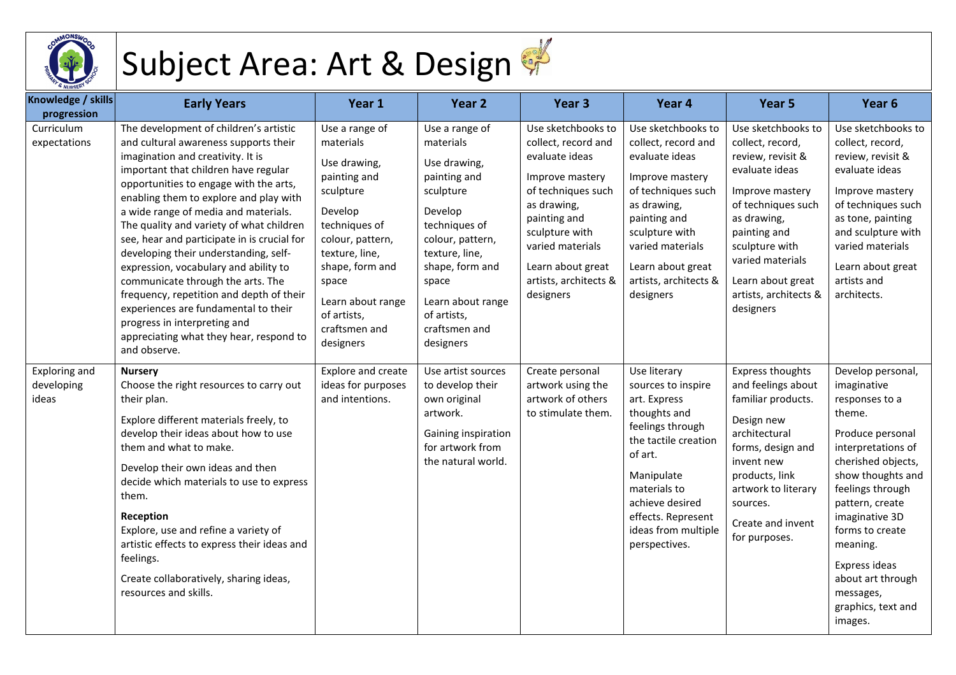

## Subject Area: Art & Design

| Knowledge / skills<br>progression    | <b>Early Years</b>                                                                                                                                                                                                                                                                                                                                                                                                                                                                                                                                                                                                                                                                        | Year 1                                                                                                                                                                                                                                   | Year 2                                                                                                                                                                                                                                   | Year 3                                                                                                                                                                                                                               | Year 4                                                                                                                                                                                                                                   | Year 5                                                                                                                                                                                                                                                 | Year <sub>6</sub>                                                                                                                                                                                                                                                                                                             |
|--------------------------------------|-------------------------------------------------------------------------------------------------------------------------------------------------------------------------------------------------------------------------------------------------------------------------------------------------------------------------------------------------------------------------------------------------------------------------------------------------------------------------------------------------------------------------------------------------------------------------------------------------------------------------------------------------------------------------------------------|------------------------------------------------------------------------------------------------------------------------------------------------------------------------------------------------------------------------------------------|------------------------------------------------------------------------------------------------------------------------------------------------------------------------------------------------------------------------------------------|--------------------------------------------------------------------------------------------------------------------------------------------------------------------------------------------------------------------------------------|------------------------------------------------------------------------------------------------------------------------------------------------------------------------------------------------------------------------------------------|--------------------------------------------------------------------------------------------------------------------------------------------------------------------------------------------------------------------------------------------------------|-------------------------------------------------------------------------------------------------------------------------------------------------------------------------------------------------------------------------------------------------------------------------------------------------------------------------------|
| Curriculum<br>expectations           | The development of children's artistic<br>and cultural awareness supports their<br>imagination and creativity. It is<br>important that children have regular<br>opportunities to engage with the arts,<br>enabling them to explore and play with<br>a wide range of media and materials.<br>The quality and variety of what children<br>see, hear and participate in is crucial for<br>developing their understanding, self-<br>expression, vocabulary and ability to<br>communicate through the arts. The<br>frequency, repetition and depth of their<br>experiences are fundamental to their<br>progress in interpreting and<br>appreciating what they hear, respond to<br>and observe. | Use a range of<br>materials<br>Use drawing,<br>painting and<br>sculpture<br>Develop<br>techniques of<br>colour, pattern,<br>texture, line,<br>shape, form and<br>space<br>Learn about range<br>of artists,<br>craftsmen and<br>designers | Use a range of<br>materials<br>Use drawing,<br>painting and<br>sculpture<br>Develop<br>techniques of<br>colour, pattern,<br>texture, line,<br>shape, form and<br>space<br>Learn about range<br>of artists,<br>craftsmen and<br>designers | Use sketchbooks to<br>collect, record and<br>evaluate ideas<br>Improve mastery<br>of techniques such<br>as drawing,<br>painting and<br>sculpture with<br>varied materials<br>Learn about great<br>artists, architects &<br>designers | Use sketchbooks to<br>collect, record and<br>evaluate ideas<br>Improve mastery<br>of techniques such<br>as drawing,<br>painting and<br>sculpture with<br>varied materials<br>Learn about great<br>artists, architects &<br>designers     | Use sketchbooks to<br>collect, record,<br>review, revisit &<br>evaluate ideas<br>Improve mastery<br>of techniques such<br>as drawing,<br>painting and<br>sculpture with<br>varied materials<br>Learn about great<br>artists, architects &<br>designers | Use sketchbooks to<br>collect, record,<br>review, revisit &<br>evaluate ideas<br>Improve mastery<br>of techniques such<br>as tone, painting<br>and sculpture with<br>varied materials<br>Learn about great<br>artists and<br>architects.                                                                                      |
| Exploring and<br>developing<br>ideas | <b>Nursery</b><br>Choose the right resources to carry out<br>their plan.<br>Explore different materials freely, to<br>develop their ideas about how to use<br>them and what to make.<br>Develop their own ideas and then<br>decide which materials to use to express<br>them.<br>Reception<br>Explore, use and refine a variety of<br>artistic effects to express their ideas and<br>feelings.<br>Create collaboratively, sharing ideas,<br>resources and skills.                                                                                                                                                                                                                         | Explore and create<br>ideas for purposes<br>and intentions.                                                                                                                                                                              | Use artist sources<br>to develop their<br>own original<br>artwork.<br>Gaining inspiration<br>for artwork from<br>the natural world.                                                                                                      | Create personal<br>artwork using the<br>artwork of others<br>to stimulate them.                                                                                                                                                      | Use literary<br>sources to inspire<br>art. Express<br>thoughts and<br>feelings through<br>the tactile creation<br>of art.<br>Manipulate<br>materials to<br>achieve desired<br>effects. Represent<br>ideas from multiple<br>perspectives. | <b>Express thoughts</b><br>and feelings about<br>familiar products.<br>Design new<br>architectural<br>forms, design and<br>invent new<br>products, link<br>artwork to literary<br>sources.<br>Create and invent<br>for purposes.                       | Develop personal,<br>imaginative<br>responses to a<br>theme.<br>Produce personal<br>interpretations of<br>cherished objects,<br>show thoughts and<br>feelings through<br>pattern, create<br>imaginative 3D<br>forms to create<br>meaning.<br>Express ideas<br>about art through<br>messages,<br>graphics, text and<br>images. |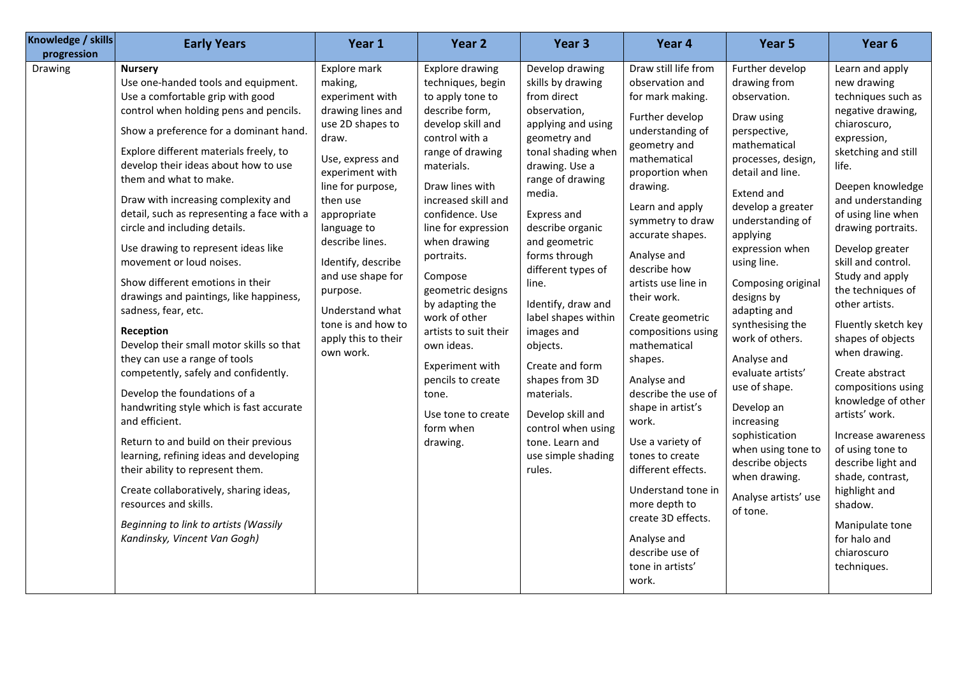| Knowledge / skills<br>progression | <b>Early Years</b>                                                                                                                                                                                                                                                                                                                                                                                                                                                                                                                                                                                                                                                                                                                                                                                                                                                                                                                                                                                                                                                                           | Year 1                                                                                                                                                                                                                                                                                                                                                    | Year 2                                                                                                                                                                                                                                                                                                                                                                                                                                                                                  | Year 3                                                                                                                                                                                                                                                                                                                                                                                                                                                                                                      | Year 4                                                                                                                                                                                                                                                                                                                                                                                                                                                                                                                                                                                                                              | Year 5                                                                                                                                                                                                                                                                                                                                                                                                                                                                                                                                    | Year <sub>6</sub>                                                                                                                                                                                                                                                                                                                                                                                                                                                                                                                                                                                                                                               |
|-----------------------------------|----------------------------------------------------------------------------------------------------------------------------------------------------------------------------------------------------------------------------------------------------------------------------------------------------------------------------------------------------------------------------------------------------------------------------------------------------------------------------------------------------------------------------------------------------------------------------------------------------------------------------------------------------------------------------------------------------------------------------------------------------------------------------------------------------------------------------------------------------------------------------------------------------------------------------------------------------------------------------------------------------------------------------------------------------------------------------------------------|-----------------------------------------------------------------------------------------------------------------------------------------------------------------------------------------------------------------------------------------------------------------------------------------------------------------------------------------------------------|-----------------------------------------------------------------------------------------------------------------------------------------------------------------------------------------------------------------------------------------------------------------------------------------------------------------------------------------------------------------------------------------------------------------------------------------------------------------------------------------|-------------------------------------------------------------------------------------------------------------------------------------------------------------------------------------------------------------------------------------------------------------------------------------------------------------------------------------------------------------------------------------------------------------------------------------------------------------------------------------------------------------|-------------------------------------------------------------------------------------------------------------------------------------------------------------------------------------------------------------------------------------------------------------------------------------------------------------------------------------------------------------------------------------------------------------------------------------------------------------------------------------------------------------------------------------------------------------------------------------------------------------------------------------|-------------------------------------------------------------------------------------------------------------------------------------------------------------------------------------------------------------------------------------------------------------------------------------------------------------------------------------------------------------------------------------------------------------------------------------------------------------------------------------------------------------------------------------------|-----------------------------------------------------------------------------------------------------------------------------------------------------------------------------------------------------------------------------------------------------------------------------------------------------------------------------------------------------------------------------------------------------------------------------------------------------------------------------------------------------------------------------------------------------------------------------------------------------------------------------------------------------------------|
| Drawing                           | <b>Nursery</b><br>Use one-handed tools and equipment.<br>Use a comfortable grip with good<br>control when holding pens and pencils.<br>Show a preference for a dominant hand.<br>Explore different materials freely, to<br>develop their ideas about how to use<br>them and what to make.<br>Draw with increasing complexity and<br>detail, such as representing a face with a<br>circle and including details.<br>Use drawing to represent ideas like<br>movement or loud noises.<br>Show different emotions in their<br>drawings and paintings, like happiness,<br>sadness, fear, etc.<br>Reception<br>Develop their small motor skills so that<br>they can use a range of tools<br>competently, safely and confidently.<br>Develop the foundations of a<br>handwriting style which is fast accurate<br>and efficient.<br>Return to and build on their previous<br>learning, refining ideas and developing<br>their ability to represent them.<br>Create collaboratively, sharing ideas,<br>resources and skills.<br>Beginning to link to artists (Wassily<br>Kandinsky, Vincent Van Gogh) | Explore mark<br>making,<br>experiment with<br>drawing lines and<br>use 2D shapes to<br>draw.<br>Use, express and<br>experiment with<br>line for purpose,<br>then use<br>appropriate<br>language to<br>describe lines.<br>Identify, describe<br>and use shape for<br>purpose.<br>Understand what<br>tone is and how to<br>apply this to their<br>own work. | <b>Explore drawing</b><br>techniques, begin<br>to apply tone to<br>describe form,<br>develop skill and<br>control with a<br>range of drawing<br>materials.<br>Draw lines with<br>increased skill and<br>confidence. Use<br>line for expression<br>when drawing<br>portraits.<br>Compose<br>geometric designs<br>by adapting the<br>work of other<br>artists to suit their<br>own ideas.<br>Experiment with<br>pencils to create<br>tone.<br>Use tone to create<br>form when<br>drawing. | Develop drawing<br>skills by drawing<br>from direct<br>observation,<br>applying and using<br>geometry and<br>tonal shading when<br>drawing. Use a<br>range of drawing<br>media.<br>Express and<br>describe organic<br>and geometric<br>forms through<br>different types of<br>line.<br>Identify, draw and<br>label shapes within<br>images and<br>objects.<br>Create and form<br>shapes from 3D<br>materials.<br>Develop skill and<br>control when using<br>tone. Learn and<br>use simple shading<br>rules. | Draw still life from<br>observation and<br>for mark making.<br>Further develop<br>understanding of<br>geometry and<br>mathematical<br>proportion when<br>drawing.<br>Learn and apply<br>symmetry to draw<br>accurate shapes.<br>Analyse and<br>describe how<br>artists use line in<br>their work.<br>Create geometric<br>compositions using<br>mathematical<br>shapes.<br>Analyse and<br>describe the use of<br>shape in artist's<br>work.<br>Use a variety of<br>tones to create<br>different effects.<br>Understand tone in<br>more depth to<br>create 3D effects.<br>Analyse and<br>describe use of<br>tone in artists'<br>work. | Further develop<br>drawing from<br>observation.<br>Draw using<br>perspective,<br>mathematical<br>processes, design,<br>detail and line.<br>Extend and<br>develop a greater<br>understanding of<br>applying<br>expression when<br>using line.<br>Composing original<br>designs by<br>adapting and<br>synthesising the<br>work of others.<br>Analyse and<br>evaluate artists'<br>use of shape.<br>Develop an<br>increasing<br>sophistication<br>when using tone to<br>describe objects<br>when drawing.<br>Analyse artists' use<br>of tone. | Learn and apply<br>new drawing<br>techniques such as<br>negative drawing,<br>chiaroscuro,<br>expression,<br>sketching and still<br>life.<br>Deepen knowledge<br>and understanding<br>of using line when<br>drawing portraits.<br>Develop greater<br>skill and control.<br>Study and apply<br>the techniques of<br>other artists.<br>Fluently sketch key<br>shapes of objects<br>when drawing.<br>Create abstract<br>compositions using<br>knowledge of other<br>artists' work.<br>Increase awareness<br>of using tone to<br>describe light and<br>shade, contrast,<br>highlight and<br>shadow.<br>Manipulate tone<br>for halo and<br>chiaroscuro<br>techniques. |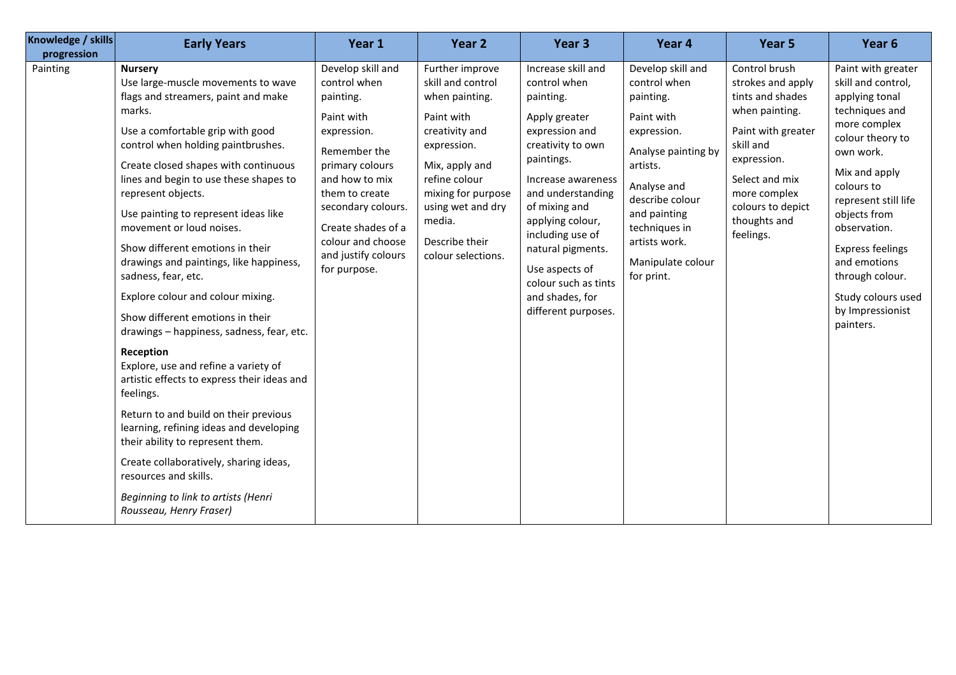| Knowledge / skills<br>progression | <b>Early Years</b>                                                                                                                                                                                                                                                                                                                                                                                                                                                                                                                                                                                                                                                                                                                                                                                                                                                                                                                                                    | Year 1                                                                                                                                                                                                                                                     | Year <sub>2</sub>                                                                                                                                                                                                                     | Year <sub>3</sub>                                                                                                                                                                                                                                                                                                                  | Year 4                                                                                                                                                                                                                                | Year 5                                                                                                                                                                                                         | Year <sub>6</sub>                                                                                                                                                                                                                                                                                                                         |
|-----------------------------------|-----------------------------------------------------------------------------------------------------------------------------------------------------------------------------------------------------------------------------------------------------------------------------------------------------------------------------------------------------------------------------------------------------------------------------------------------------------------------------------------------------------------------------------------------------------------------------------------------------------------------------------------------------------------------------------------------------------------------------------------------------------------------------------------------------------------------------------------------------------------------------------------------------------------------------------------------------------------------|------------------------------------------------------------------------------------------------------------------------------------------------------------------------------------------------------------------------------------------------------------|---------------------------------------------------------------------------------------------------------------------------------------------------------------------------------------------------------------------------------------|------------------------------------------------------------------------------------------------------------------------------------------------------------------------------------------------------------------------------------------------------------------------------------------------------------------------------------|---------------------------------------------------------------------------------------------------------------------------------------------------------------------------------------------------------------------------------------|----------------------------------------------------------------------------------------------------------------------------------------------------------------------------------------------------------------|-------------------------------------------------------------------------------------------------------------------------------------------------------------------------------------------------------------------------------------------------------------------------------------------------------------------------------------------|
| Painting                          | <b>Nursery</b><br>Use large-muscle movements to wave<br>flags and streamers, paint and make<br>marks.<br>Use a comfortable grip with good<br>control when holding paintbrushes.<br>Create closed shapes with continuous<br>lines and begin to use these shapes to<br>represent objects.<br>Use painting to represent ideas like<br>movement or loud noises.<br>Show different emotions in their<br>drawings and paintings, like happiness,<br>sadness, fear, etc.<br>Explore colour and colour mixing.<br>Show different emotions in their<br>drawings - happiness, sadness, fear, etc.<br>Reception<br>Explore, use and refine a variety of<br>artistic effects to express their ideas and<br>feelings.<br>Return to and build on their previous<br>learning, refining ideas and developing<br>their ability to represent them.<br>Create collaboratively, sharing ideas,<br>resources and skills.<br>Beginning to link to artists (Henri<br>Rousseau, Henry Fraser) | Develop skill and<br>control when<br>painting.<br>Paint with<br>expression.<br>Remember the<br>primary colours<br>and how to mix<br>them to create<br>secondary colours.<br>Create shades of a<br>colour and choose<br>and justify colours<br>for purpose. | Further improve<br>skill and control<br>when painting.<br>Paint with<br>creativity and<br>expression.<br>Mix, apply and<br>refine colour<br>mixing for purpose<br>using wet and dry<br>media.<br>Describe their<br>colour selections. | Increase skill and<br>control when<br>painting.<br>Apply greater<br>expression and<br>creativity to own<br>paintings.<br>Increase awareness<br>and understanding<br>of mixing and<br>applying colour,<br>including use of<br>natural pigments.<br>Use aspects of<br>colour such as tints<br>and shades, for<br>different purposes. | Develop skill and<br>control when<br>painting.<br>Paint with<br>expression.<br>Analyse painting by<br>artists.<br>Analyse and<br>describe colour<br>and painting<br>techniques in<br>artists work.<br>Manipulate colour<br>for print. | Control brush<br>strokes and apply<br>tints and shades<br>when painting.<br>Paint with greater<br>skill and<br>expression.<br>Select and mix<br>more complex<br>colours to depict<br>thoughts and<br>feelings. | Paint with greater<br>skill and control,<br>applying tonal<br>techniques and<br>more complex<br>colour theory to<br>own work.<br>Mix and apply<br>colours to<br>represent still life<br>objects from<br>observation.<br><b>Express feelings</b><br>and emotions<br>through colour.<br>Study colours used<br>by Impressionist<br>painters. |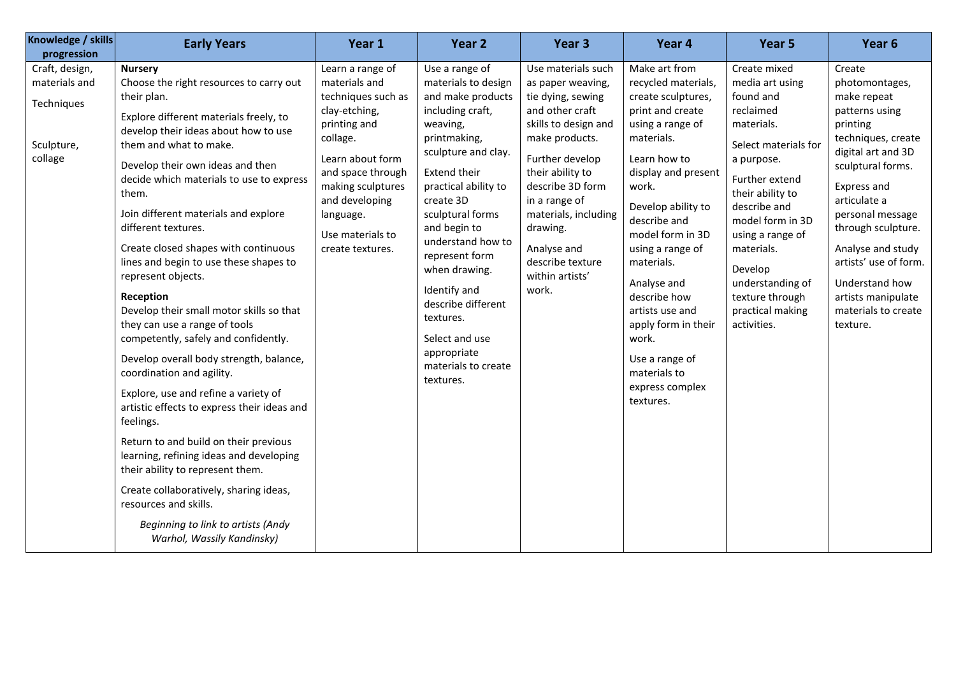| Knowledge / skills<br>progression                                      | <b>Early Years</b>                                                                                                                                                                                                                                                                                                                                                                                                                                                                                                                                                                                                                                                                                                                                                                                                                                                                                                                                                                                                                | Year 1                                                                                                                                                                                                                                    | Year 2                                                                                                                                                                                                                                                                                                                                                                                                            | Year 3                                                                                                                                                                                                                                                                                                   | Year 4                                                                                                                                                                                                                                                                                                                                                                                                           | Year 5                                                                                                                                                                                                                                                                                                         | Year <sub>6</sub>                                                                                                                                                                                                                                                                                                                        |
|------------------------------------------------------------------------|-----------------------------------------------------------------------------------------------------------------------------------------------------------------------------------------------------------------------------------------------------------------------------------------------------------------------------------------------------------------------------------------------------------------------------------------------------------------------------------------------------------------------------------------------------------------------------------------------------------------------------------------------------------------------------------------------------------------------------------------------------------------------------------------------------------------------------------------------------------------------------------------------------------------------------------------------------------------------------------------------------------------------------------|-------------------------------------------------------------------------------------------------------------------------------------------------------------------------------------------------------------------------------------------|-------------------------------------------------------------------------------------------------------------------------------------------------------------------------------------------------------------------------------------------------------------------------------------------------------------------------------------------------------------------------------------------------------------------|----------------------------------------------------------------------------------------------------------------------------------------------------------------------------------------------------------------------------------------------------------------------------------------------------------|------------------------------------------------------------------------------------------------------------------------------------------------------------------------------------------------------------------------------------------------------------------------------------------------------------------------------------------------------------------------------------------------------------------|----------------------------------------------------------------------------------------------------------------------------------------------------------------------------------------------------------------------------------------------------------------------------------------------------------------|------------------------------------------------------------------------------------------------------------------------------------------------------------------------------------------------------------------------------------------------------------------------------------------------------------------------------------------|
| Craft, design,<br>materials and<br>Techniques<br>Sculpture,<br>collage | <b>Nursery</b><br>Choose the right resources to carry out<br>their plan.<br>Explore different materials freely, to<br>develop their ideas about how to use<br>them and what to make.<br>Develop their own ideas and then<br>decide which materials to use to express<br>them.<br>Join different materials and explore<br>different textures.<br>Create closed shapes with continuous<br>lines and begin to use these shapes to<br>represent objects.<br>Reception<br>Develop their small motor skills so that<br>they can use a range of tools<br>competently, safely and confidently.<br>Develop overall body strength, balance,<br>coordination and agility.<br>Explore, use and refine a variety of<br>artistic effects to express their ideas and<br>feelings.<br>Return to and build on their previous<br>learning, refining ideas and developing<br>their ability to represent them.<br>Create collaboratively, sharing ideas,<br>resources and skills.<br>Beginning to link to artists (Andy<br>Warhol, Wassily Kandinsky) | Learn a range of<br>materials and<br>techniques such as<br>clay-etching,<br>printing and<br>collage.<br>Learn about form<br>and space through<br>making sculptures<br>and developing<br>language.<br>Use materials to<br>create textures. | Use a range of<br>materials to design<br>and make products<br>including craft,<br>weaving,<br>printmaking,<br>sculpture and clay.<br><b>Extend their</b><br>practical ability to<br>create 3D<br>sculptural forms<br>and begin to<br>understand how to<br>represent form<br>when drawing.<br>Identify and<br>describe different<br>textures.<br>Select and use<br>appropriate<br>materials to create<br>textures. | Use materials such<br>as paper weaving,<br>tie dying, sewing<br>and other craft<br>skills to design and<br>make products.<br>Further develop<br>their ability to<br>describe 3D form<br>in a range of<br>materials, including<br>drawing.<br>Analyse and<br>describe texture<br>within artists'<br>work. | Make art from<br>recycled materials,<br>create sculptures,<br>print and create<br>using a range of<br>materials.<br>Learn how to<br>display and present<br>work.<br>Develop ability to<br>describe and<br>model form in 3D<br>using a range of<br>materials.<br>Analyse and<br>describe how<br>artists use and<br>apply form in their<br>work.<br>Use a range of<br>materials to<br>express complex<br>textures. | Create mixed<br>media art using<br>found and<br>reclaimed<br>materials.<br>Select materials for<br>a purpose.<br>Further extend<br>their ability to<br>describe and<br>model form in 3D<br>using a range of<br>materials.<br>Develop<br>understanding of<br>texture through<br>practical making<br>activities. | Create<br>photomontages,<br>make repeat<br>patterns using<br>printing<br>techniques, create<br>digital art and 3D<br>sculptural forms.<br>Express and<br>articulate a<br>personal message<br>through sculpture.<br>Analyse and study<br>artists' use of form.<br>Understand how<br>artists manipulate<br>materials to create<br>texture. |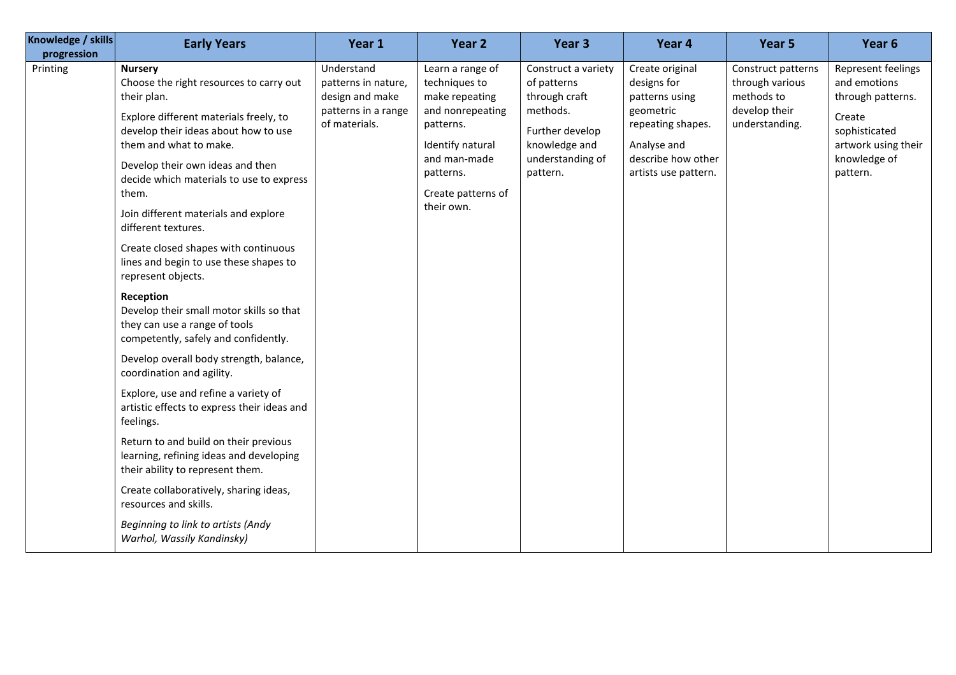| Knowledge / skills<br><b>Early Years</b><br>Year 1<br>progression                                                                                                                                                                                                                                                                                                                                                                                                                                                                                                                                                                                                                                                                                                                                                                                                                                                                                                                                                                                                                                                                             | Year 2                                                                                                                                                                    | Year 3                                                                                                                              | Year 4                                                                                                                                          | Year 5                                                                                 | Year <sub>6</sub>                                                                                                                     |
|-----------------------------------------------------------------------------------------------------------------------------------------------------------------------------------------------------------------------------------------------------------------------------------------------------------------------------------------------------------------------------------------------------------------------------------------------------------------------------------------------------------------------------------------------------------------------------------------------------------------------------------------------------------------------------------------------------------------------------------------------------------------------------------------------------------------------------------------------------------------------------------------------------------------------------------------------------------------------------------------------------------------------------------------------------------------------------------------------------------------------------------------------|---------------------------------------------------------------------------------------------------------------------------------------------------------------------------|-------------------------------------------------------------------------------------------------------------------------------------|-------------------------------------------------------------------------------------------------------------------------------------------------|----------------------------------------------------------------------------------------|---------------------------------------------------------------------------------------------------------------------------------------|
| Understand<br>Printing<br><b>Nursery</b><br>Choose the right resources to carry out<br>patterns in nature,<br>design and make<br>their plan.<br>patterns in a range<br>Explore different materials freely, to<br>of materials.<br>develop their ideas about how to use<br>them and what to make.<br>Develop their own ideas and then<br>decide which materials to use to express<br>them.<br>Join different materials and explore<br>different textures.<br>Create closed shapes with continuous<br>lines and begin to use these shapes to<br>represent objects.<br>Reception<br>Develop their small motor skills so that<br>they can use a range of tools<br>competently, safely and confidently.<br>Develop overall body strength, balance,<br>coordination and agility.<br>Explore, use and refine a variety of<br>artistic effects to express their ideas and<br>feelings.<br>Return to and build on their previous<br>learning, refining ideas and developing<br>their ability to represent them.<br>Create collaboratively, sharing ideas,<br>resources and skills.<br>Beginning to link to artists (Andy<br>Warhol, Wassily Kandinsky) | Learn a range of<br>techniques to<br>make repeating<br>and nonrepeating<br>patterns.<br>Identify natural<br>and man-made<br>patterns.<br>Create patterns of<br>their own. | Construct a variety<br>of patterns<br>through craft<br>methods.<br>Further develop<br>knowledge and<br>understanding of<br>pattern. | Create original<br>designs for<br>patterns using<br>geometric<br>repeating shapes.<br>Analyse and<br>describe how other<br>artists use pattern. | Construct patterns<br>through various<br>methods to<br>develop their<br>understanding. | Represent feelings<br>and emotions<br>through patterns.<br>Create<br>sophisticated<br>artwork using their<br>knowledge of<br>pattern. |